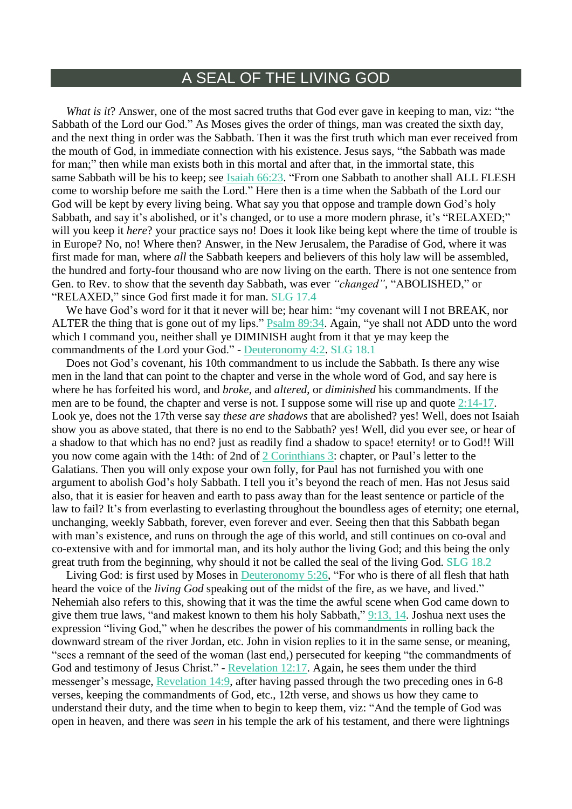## A SEAL OF THE LIVING GOD

*What is it*? Answer, one of the most sacred truths that God ever gave in keeping to man, viz: "the Sabbath of the Lord our God." As Moses gives the order of things, man was created the sixth day, and the next thing in order was the Sabbath. Then it was the first truth which man ever received from the mouth of God, in immediate connection with his existence. Jesus says, "the Sabbath was made for man;" then while man exists both in this mortal and after that, in the immortal state, this same Sabbath will be his to keep; see Isaiah [66:23.](https://m.egwwritings.org/en/book/1965.38661#38661) "From one Sabbath to another shall ALL FLESH come to worship before me saith the Lord." Here then is a time when the Sabbath of the Lord our God will be kept by every living being. What say you that oppose and trample down God's holy Sabbath, and say it's abolished, or it's changed, or to use a more modern phrase, it's "RELAXED;" will you keep it *here*? your practice says no! Does it look like being kept where the time of trouble is in Europe? No, no! Where then? Answer, in the New Jerusalem, the Paradise of God, where it was first made for man, where *all* the Sabbath keepers and believers of this holy law will be assembled, the hundred and forty-four thousand who are now living on the earth. There is not one sentence from Gen. to Rev. to show that the seventh day Sabbath, was ever *"changed"*, "ABOLISHED," or "RELAXED," since God first made it for man. SLG 17.4

We have God's word for it that it never will be; hear him: "my covenant will I not BREAK, nor ALTER the thing that is gone out of my lips." **Psalm [89:34.](https://m.egwwritings.org/en/book/1965.31309#31309)** Again, "ye shall not ADD unto the word which I command you, neither shall ye DIMINISH aught from it that ye may keep the commandments of the Lord your God." - [Deuteronomy](https://m.egwwritings.org/en/book/1965.10177#10177) 4:2. SLG 18.1

Does not God's covenant, his 10th commandment to us include the Sabbath. Is there any wise men in the land that can point to the chapter and verse in the whole word of God, and say here is where he has forfeited his word, and *broke*, and *altered*, or *diminished* his commandments. If the men are to be found, the chapter and verse is not. I suppose some will rise up and quote [2:14-17.](https://m.egwwritings.org/en/book/1965.60179#60179) Look ye, does not the 17th verse say *these are shadows* that are abolished? yes! Well, does not Isaiah show you as above stated, that there is no end to the Sabbath? yes! Well, did you ever see, or hear of a shadow to that which has no end? just as readily find a shadow to space! eternity! or to God!! Will you now come again with the 14th: of 2nd of 2 [Corinthians](https://m.egwwritings.org/en/book/1965.58815#58815) 3: chapter, or Paul's letter to the Galatians. Then you will only expose your own folly, for Paul has not furnished you with one argument to abolish God's holy Sabbath. I tell you it's beyond the reach of men. Has not Jesus said also, that it is easier for heaven and earth to pass away than for the least sentence or particle of the law to fail? It's from everlasting to everlasting throughout the boundless ages of eternity; one eternal, unchanging, weekly Sabbath, forever, even forever and ever. Seeing then that this Sabbath began with man's existence, and runs on through the age of this world, and still continues on co-oval and co-extensive with and for immortal man, and its holy author the living God; and this being the only great truth from the beginning, why should it not be called the seal of the living God. SLG 18.2

Living God: is first used by Moses in [Deuteronomy](https://m.egwwritings.org/en/book/1965.10324#10324) 5:26, "For who is there of all flesh that hath heard the voice of the *living God* speaking out of the midst of the fire, as we have, and lived." Nehemiah also refers to this, showing that it was the time the awful scene when God came down to give them true laws, "and makest known to them his holy Sabbath," [9:13,](https://m.egwwritings.org/en/book/1965.25489#25489) 14. Joshua next uses the expression "living God," when he describes the power of his commandments in rolling back the downward stream of the river Jordan, etc. John in vision replies to it in the same sense, or meaning, "sees a remnant of the seed of the woman (last end,) persecuted for keeping "the commandments of God and testimony of Jesus Christ." - [Revelation](https://m.egwwritings.org/en/book/1965.63064#63064) 12:17. Again, he sees them under the third messenger's message, [Revelation](https://m.egwwritings.org/en/book/1965.63120#63120) 14:9, after having passed through the two preceding ones in 6-8 verses, keeping the commandments of God, etc., 12th verse, and shows us how they came to understand their duty, and the time when to begin to keep them, viz: "And the temple of God was open in heaven, and there was *seen* in his temple the ark of his testament, and there were lightnings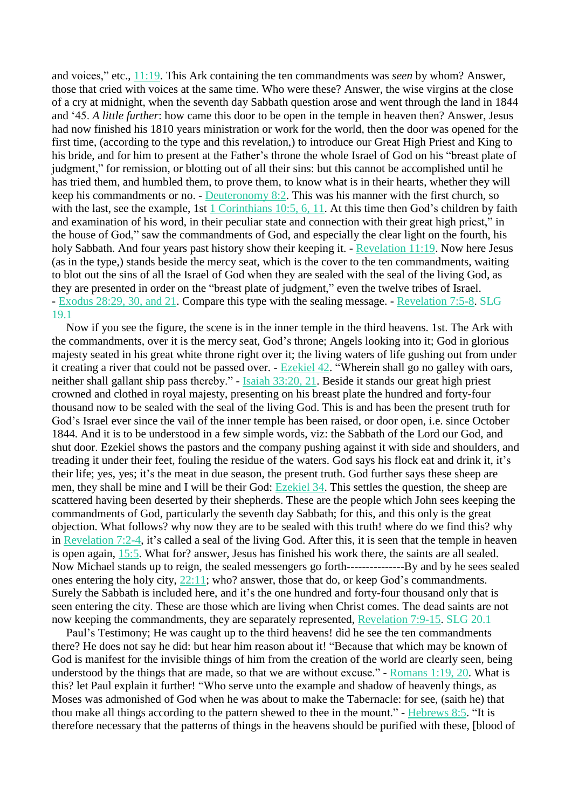and voices," etc., [11:19.](https://m.egwwritings.org/en/book/1965.63029#63029) This Ark containing the ten commandments was *seen* by whom? Answer, those that cried with voices at the same time. Who were these? Answer, the wise virgins at the close of a cry at midnight, when the seventh day Sabbath question arose and went through the land in 1844 and '45. *A little further*: how came this door to be open in the temple in heaven then? Answer, Jesus had now finished his 1810 years ministration or work for the world, then the door was opened for the first time, (according to the type and this revelation,) to introduce our Great High Priest and King to his bride, and for him to present at the Father's throne the whole Israel of God on his "breast plate of judgment," for remission, or blotting out of all their sins: but this cannot be accomplished until he has tried them, and humbled them, to prove them, to know what is in their hearts, whether they will keep his commandments or no. - [Deuteronomy](https://m.egwwritings.org/en/book/1965.10447#10447) 8:2. This was his manner with the first church, so with the last, see the example, 1st 1 [Corinthians](https://m.egwwritings.org/en/book/1965.58265#58265) 10:5, 6, 11. At this time then God's children by faith and examination of his word, in their peculiar state and connection with their great high priest," in the house of God," saw the commandments of God, and especially the clear light on the fourth, his holy Sabbath. And four years past history show their keeping it. - [Revelation](https://m.egwwritings.org/en/book/1965.63029#63029) 11:19. Now here Jesus (as in the type,) stands beside the mercy seat, which is the cover to the ten commandments, waiting to blot out the sins of all the Israel of God when they are sealed with the seal of the living God, as they are presented in order on the "breast plate of judgment," even the twelve tribes of Israel. - [Exodus](https://m.egwwritings.org/en/book/1965.4727#4727) 28:29, 30, and 21. Compare this type with the sealing message. - [Revelation](https://m.egwwritings.org/en/book/1965.62873#62873) 7:5-8. SLG 19.1

Now if you see the figure, the scene is in the inner temple in the third heavens. 1st. The Ark with the commandments, over it is the mercy seat, God's throne; Angels looking into it; God in glorious majesty seated in his great white throne right over it; the living waters of life gushing out from under it creating a river that could not be passed over. - [Ezekiel](https://m.egwwritings.org/en/book/1965.43979#43979) 42. "Wherein shall go no galley with oars, neither shall gallant ship pass thereby." - Isaiah [33:20,](https://m.egwwritings.org/en/book/1965.37336#37336) 21. Beside it stands our great high priest crowned and clothed in royal majesty, presenting on his breast plate the hundred and forty-four thousand now to be sealed with the seal of the living God. This is and has been the present truth for God's Israel ever since the vail of the inner temple has been raised, or door open, i.e. since October 1844. And it is to be understood in a few simple words, viz: the Sabbath of the Lord our God, and shut door. Ezekiel shows the pastors and the company pushing against it with side and shoulders, and treading it under their feet, fouling the residue of the waters. God says his flock eat and drink it, it's their life; yes, yes; it's the meat in due season, the present truth. God further says these sheep are men, they shall be mine and I will be their God: [Ezekiel](https://m.egwwritings.org/en/book/1965.43493#43493) 34. This settles the question, the sheep are scattered having been deserted by their shepherds. These are the people which John sees keeping the commandments of God, particularly the seventh day Sabbath; for this, and this only is the great objection. What follows? why now they are to be sealed with this truth! where do we find this? why in [Revelation](https://m.egwwritings.org/en/book/1965.62867#62867) 7:2-4, it's called a seal of the living God. After this, it is seen that the temple in heaven is open again, [15:5.](https://m.egwwritings.org/en/book/1965.63153#63153) What for? answer, Jesus has finished his work there, the saints are all sealed. Now Michael stands up to reign, the sealed messengers go forth---------------By and by he sees sealed ones entering the holy city, [22:11;](https://m.egwwritings.org/en/book/1965.63440#63440) who? answer, those that do, or keep God's commandments. Surely the Sabbath is included here, and it's the one hundred and forty-four thousand only that is seen entering the city. These are those which are living when Christ comes. The dead saints are not now keeping the commandments, they are separately represented, [Revelation](https://m.egwwritings.org/en/book/1965.62881#62881) 7:9-15. SLG 20.1

Paul's Testimony; He was caught up to the third heavens! did he see the ten commandments there? He does not say he did: but hear him reason about it! "Because that which may be known of God is manifest for the invisible things of him from the creation of the world are clearly seen, being understood by the things that are made, so that we are without excuse." - [Romans](https://m.egwwritings.org/en/book/1965.56993#56993) 1:19, 20. What is this? let Paul explain it further! "Who serve unto the example and shadow of heavenly things, as Moses was admonished of God when he was about to make the Tabernacle: for see, (saith he) that thou make all things according to the pattern shewed to thee in the mount." - [Hebrews](https://m.egwwritings.org/en/book/1965.61396#61396) 8:5. "It is therefore necessary that the patterns of things in the heavens should be purified with these, [blood of